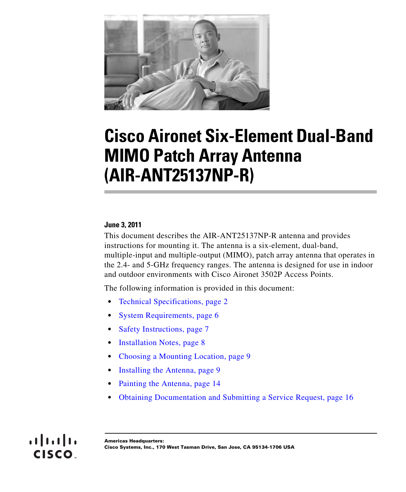

# **Cisco Aironet Six-Element Dual-Band MIMO Patch Array Antenna (AIR-ANT25137NP-R)**

#### **June 3, 2011**

This document describes the AIR-ANT25137NP-R antenna and provides instructions for mounting it. The antenna is a six-element, dual-band, multiple-input and multiple-output (MIMO), patch array antenna that operates in the 2.4- and 5-GHz frequency ranges. The antenna is designed for use in indoor and outdoor environments with Cisco Aironet 3502P Access Points.

The following information is provided in this document:

- **•** [Technical Specifications, page 2](#page-1-0)
- [System Requirements, page 6](#page-5-0)
- **•** [Safety Instructions, page 7](#page-6-0)
- [Installation Notes, page 8](#page-7-0)
- **•** [Choosing a Mounting Location, page 9](#page-8-1)
- [Installing the Antenna, page 9](#page-8-0)
- **•** [Painting the Antenna, page 14](#page-13-0)
- **•** [Obtaining Documentation and Submitting a Service Request, page 16](#page-15-0)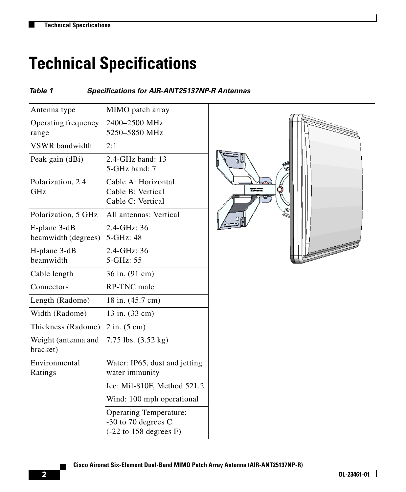# <span id="page-1-0"></span>**Technical Specifications**

#### *Table 1 Specifications for AIR-ANT25137NP-R Antennas*

| Antenna type        | MIMO patch array                          |
|---------------------|-------------------------------------------|
| Operating frequency | 2400-2500 MHz                             |
| range               | 5250–5850 MHz                             |
| VSWR bandwidth      | 2:1                                       |
| Peak gain (dBi)     | 2.4-GHz band: 13                          |
|                     | 5-GHz band: 7                             |
| Polarization, 2.4   | Cable A: Horizontal                       |
| <b>GHz</b>          | Cable B: Vertical                         |
|                     | Cable C: Vertical                         |
| Polarization, 5 GHz | All antennas: Vertical                    |
| E-plane 3-dB        | 2.4-GHz: 36                               |
| beamwidth (degrees) | 5-GHz: 48                                 |
| H-plane 3-dB        | 2.4-GHz: 36                               |
| beamwidth           | 5-GHz: 55                                 |
| Cable length        | 36 in. (91 cm)                            |
| Connectors          | <b>RP-TNC</b> male                        |
| Length (Radome)     | 18 in. (45.7 cm)                          |
| Width (Radome)      | 13 in. (33 cm)                            |
| Thickness (Radome)  | $2$ in. $(5 \text{ cm})$                  |
| Weight (antenna and | 7.75 lbs. (3.52 kg)                       |
| bracket)            |                                           |
| Environmental       | Water: IP65, dust and jetting             |
| Ratings             | water immunity                            |
|                     | Ice: Mil-810F, Method 521.2               |
|                     | Wind: 100 mph operational                 |
|                     | <b>Operating Temperature:</b>             |
|                     | -30 to 70 degrees C                       |
|                     | $(-22 \text{ to } 158 \text{ degrees F})$ |

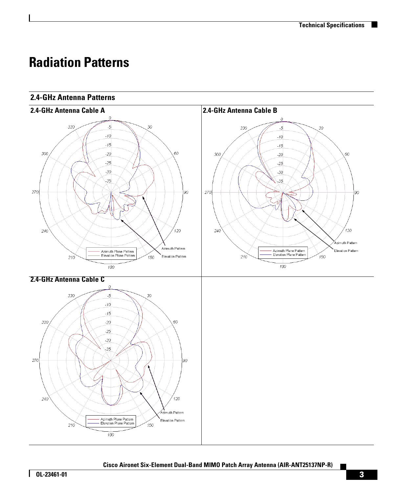T

### **Radiation Patterns**

#### **2.4-GHz Antenna Patterns**



Г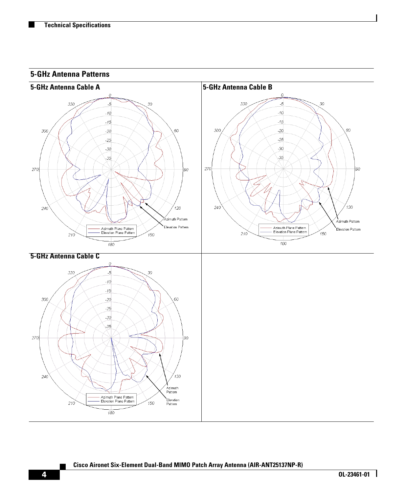

#### **Cisco Aironet Six-Element Dual-Band MIMO Patch Array Antenna (AIR-ANT25137NP-R)**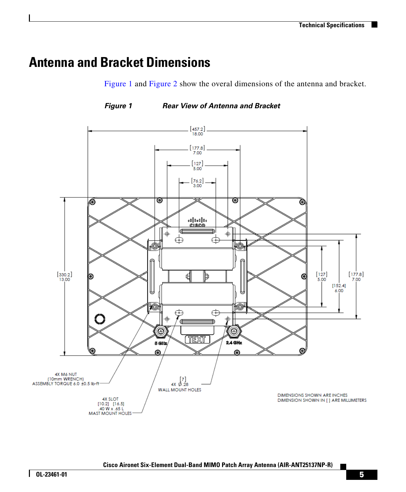H.

### **Antenna and Bracket Dimensions**

[Figure 1](#page-4-0) and [Figure 2](#page-5-1) show the overal dimensions of the antenna and bracket.

<span id="page-4-0"></span>*Figure 1 Rear View of Antenna and Bracket*



Г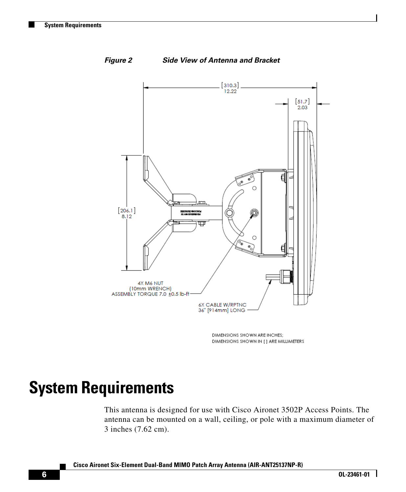

<span id="page-5-1"></span>*Figure 2 Side View of Antenna and Bracket*

DIMENSIONS SHOWN ARE INCHES; DIMENSIONS SHOWN IN [ ] ARE MILLIMETERS

# <span id="page-5-0"></span>**System Requirements**

This antenna is designed for use with Cisco Aironet 3502P Access Points. The antenna can be mounted on a wall, ceiling, or pole with a maximum diameter of 3 inches (7.62 cm).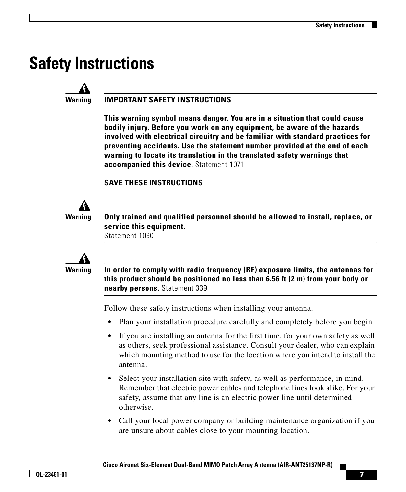## <span id="page-6-0"></span>**Safety Instructions**



#### **Warning IMPORTANT SAFETY INSTRUCTIONS**

**This warning symbol means danger. You are in a situation that could cause bodily injury. Before you work on any equipment, be aware of the hazards involved with electrical circuitry and be familiar with standard practices for preventing accidents. Use the statement number provided at the end of each warning to locate its translation in the translated safety warnings that accompanied this device.** Statement 1071

#### **SAVE THESE INSTRUCTIONS**



**Warning Only trained and qualified personnel should be allowed to install, replace, or service this equipment.**

Statement 1030



**Warning In order to comply with radio frequency (RF) exposure limits, the antennas for this product should be positioned no less than 6.56 ft (2 m) from your body or nearby persons.** Statement 339

Follow these safety instructions when installing your antenna.

- Plan your installation procedure carefully and completely before you begin.
- **•** If you are installing an antenna for the first time, for your own safety as well as others, seek professional assistance. Consult your dealer, who can explain which mounting method to use for the location where you intend to install the antenna.
- **•** Select your installation site with safety, as well as performance, in mind. Remember that electric power cables and telephone lines look alike. For your safety, assume that any line is an electric power line until determined otherwise.
- **•** Call your local power company or building maintenance organization if you are unsure about cables close to your mounting location.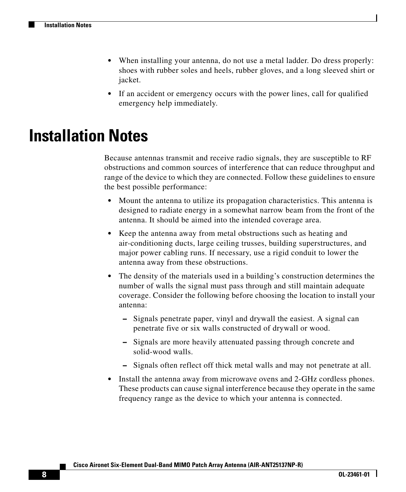- **•** When installing your antenna, do not use a metal ladder. Do dress properly: shoes with rubber soles and heels, rubber gloves, and a long sleeved shirt or jacket.
- **•** If an accident or emergency occurs with the power lines, call for qualified emergency help immediately.

### <span id="page-7-0"></span>**Installation Notes**

Because antennas transmit and receive radio signals, they are susceptible to RF obstructions and common sources of interference that can reduce throughput and range of the device to which they are connected. Follow these guidelines to ensure the best possible performance:

- **•** Mount the antenna to utilize its propagation characteristics. This antenna is designed to radiate energy in a somewhat narrow beam from the front of the antenna. It should be aimed into the intended coverage area.
- **•** Keep the antenna away from metal obstructions such as heating and air-conditioning ducts, large ceiling trusses, building superstructures, and major power cabling runs. If necessary, use a rigid conduit to lower the antenna away from these obstructions.
- **•** The density of the materials used in a building's construction determines the number of walls the signal must pass through and still maintain adequate coverage. Consider the following before choosing the location to install your antenna:
	- **–** Signals penetrate paper, vinyl and drywall the easiest. A signal can penetrate five or six walls constructed of drywall or wood.
	- **–** Signals are more heavily attenuated passing through concrete and solid-wood walls.
	- **–** Signals often reflect off thick metal walls and may not penetrate at all.
- **•** Install the antenna away from microwave ovens and 2-GHz cordless phones. These products can cause signal interference because they operate in the same frequency range as the device to which your antenna is connected.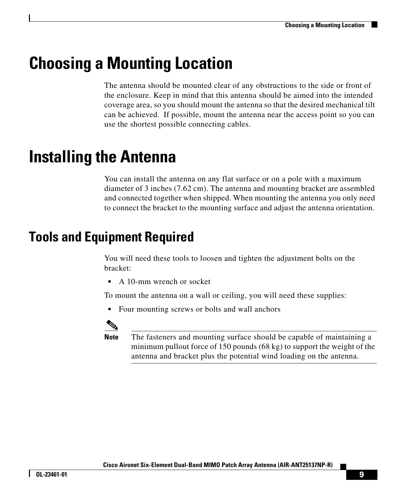# <span id="page-8-1"></span>**Choosing a Mounting Location**

The antenna should be mounted clear of any obstructions to the side or front of the enclosure. Keep in mind that this antenna should be aimed into the intended coverage area, so you should mount the antenna so that the desired mechanical tilt can be achieved. If possible, mount the antenna near the access point so you can use the shortest possible connecting cables.

# <span id="page-8-0"></span>**Installing the Antenna**

You can install the antenna on any flat surface or on a pole with a maximum diameter of 3 inches (7.62 cm). The antenna and mounting bracket are assembled and connected together when shipped. When mounting the antenna you only need to connect the bracket to the mounting surface and adjust the antenna orientation.

### **Tools and Equipment Required**

You will need these tools to loosen and tighten the adjustment bolts on the bracket:

**•** A 10-mm wrench or socket

To mount the antenna on a wall or ceiling, you will need these supplies:

**•** Four mounting screws or bolts and wall anchors



**Note** The fasteners and mounting surface should be capable of maintaining a minimum pullout force of 150 pounds (68 kg) to support the weight of the antenna and bracket plus the potential wind loading on the antenna.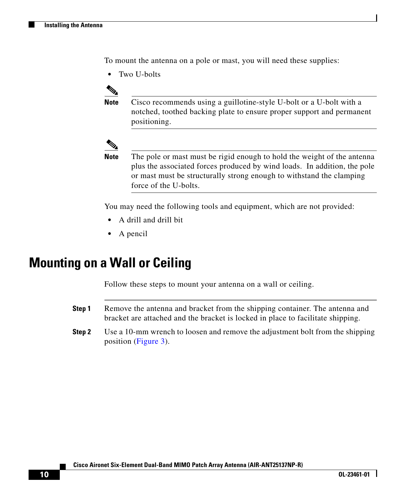To mount the antenna on a pole or mast, you will need these supplies:

**•** Two U-bolts



**Note** Cisco recommends using a guillotine-style U-bolt or a U-bolt with a notched, toothed backing plate to ensure proper support and permanent positioning.



**Note** The pole or mast must be rigid enough to hold the weight of the antenna plus the associated forces produced by wind loads. In addition, the pole or mast must be structurally strong enough to withstand the clamping force of the U-bolts.

You may need the following tools and equipment, which are not provided:

- **•** A drill and drill bit
- **•** A pencil

#### <span id="page-9-0"></span>**Mounting on a Wall or Ceiling**

Follow these steps to mount your antenna on a wall or ceiling.

- **Step 1** Remove the antenna and bracket from the shipping container. The antenna and bracket are attached and the bracket is locked in place to facilitate shipping.
- **Step 2** Use a 10-mm wrench to loosen and remove the adjustment bolt from the shipping position ([Figure 3\)](#page-10-0).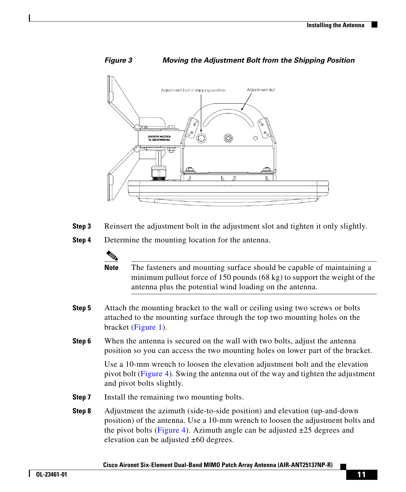<span id="page-10-0"></span>

- **Step 3** Reinsert the adjustment bolt in the adjustment slot and tighten it only slightly.
- **Step 4** Determine the mounting location for the antenna.

**Note** The fasteners and mounting surface should be capable of maintaining a minimum pullout force of 150 pounds (68 kg) to support the weight of the antenna plus the potential wind loading on the antenna.

- **Step 5** Attach the mounting bracket to the wall or ceiling using two screws or bolts attached to the mounting surface through the top two mounting holes on the bracket ([Figure 1\)](#page-4-0).
- **Step 6** When the antenna is secured on the wall with two bolts, adjust the antenna position so you can access the two mounting holes on lower part of the bracket.

Use a 10-mm wrench to loosen the elevation adjustment bolt and the elevation pivot bolt ([Figure 4\)](#page-11-0). Swing the antenna out of the way and tighten the adjustment and pivot bolts slightly.

- **Step 7** Install the remaining two mounting bolts.
- **Step 8** Adjustment the azimuth (side-to-side position) and elevation (up-and-down position) of the antenna. Use a 10-mm wrench to loosen the adjustment bolts and the pivot bolts ([Figure 4\)](#page-11-0). Azimuth angle can be adjusted  $\pm 25$  degrees and elevation can be adjusted  $\pm 60$  degrees.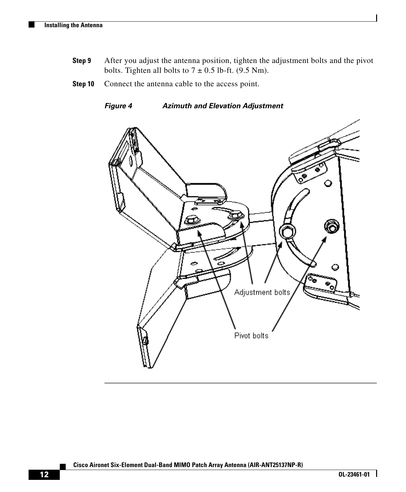- **Step 9** After you adjust the antenna position, tighten the adjustment bolts and the pivot bolts. Tighten all bolts to  $7 \pm 0.5$  lb-ft. (9.5 Nm).
- **Step 10** Connect the antenna cable to the access point.

<span id="page-11-0"></span>*Figure 4 Azimuth and Elevation Adjustment*

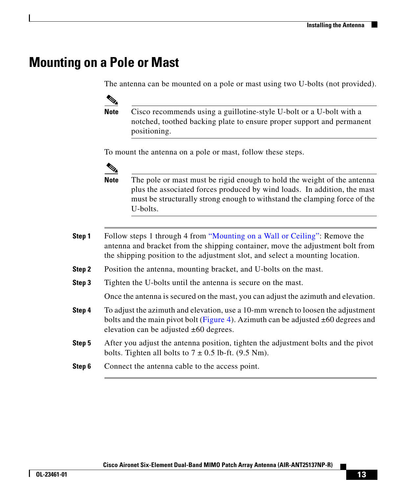#### **Mounting on a Pole or Mast**

The antenna can be mounted on a pole or mast using two U-bolts (not provided).

 $\mathscr{D}_{\mathbf{z}}$ 

**Note** Cisco recommends using a guillotine-style U-bolt or a U-bolt with a notched, toothed backing plate to ensure proper support and permanent positioning.

To mount the antenna on a pole or mast, follow these steps.



**Note** The pole or mast must be rigid enough to hold the weight of the antenna plus the associated forces produced by wind loads. In addition, the mast must be structurally strong enough to withstand the clamping force of the U-bolts.

- **Step 1** Follow steps 1 through 4 from ["Mounting on a Wall or Ceiling":](#page-9-0) Remove the antenna and bracket from the shipping container, move the adjustment bolt from the shipping position to the adjustment slot, and select a mounting location.
- **Step 2** Position the antenna, mounting bracket, and U-bolts on the mast.
- **Step 3** Tighten the U-bolts until the antenna is secure on the mast.

Once the antenna is secured on the mast, you can adjust the azimuth and elevation.

- **Step 4** To adjust the azimuth and elevation, use a 10-mm wrench to loosen the adjustment bolts and the main pivot bolt ([Figure 4\)](#page-11-0). Azimuth can be adjusted ±60 degrees and elevation can be adjusted  $\pm 60$  degrees.
- **Step 5** After you adjust the antenna position, tighten the adjustment bolts and the pivot bolts. Tighten all bolts to  $7 \pm 0.5$  lb-ft. (9.5 Nm).
- **Step 6** Connect the antenna cable to the access point.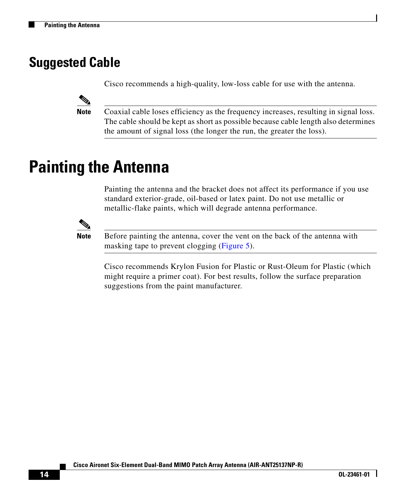### **Suggested Cable**

Cisco recommends a high-quality, low-loss cable for use with the antenna.



**Note** Coaxial cable loses efficiency as the frequency increases, resulting in signal loss. The cable should be kept as short as possible because cable length also determines the amount of signal loss (the longer the run, the greater the loss).

## <span id="page-13-0"></span>**Painting the Antenna**

Painting the antenna and the bracket does not affect its performance if you use standard exterior-grade, oil-based or latex paint. Do not use metallic or metallic-flake paints, which will degrade antenna performance.



**Note** Before painting the antenna, cover the vent on the back of the antenna with masking tape to prevent clogging ([Figure 5](#page-14-0)).

Cisco recommends Krylon Fusion for Plastic or Rust-Oleum for Plastic (which might require a primer coat). For best results, follow the surface preparation suggestions from the paint manufacturer.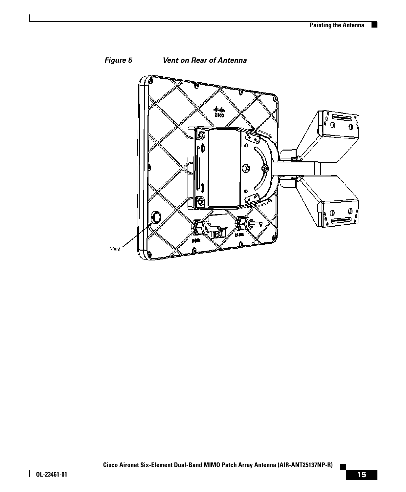$\blacksquare$ 

<span id="page-14-0"></span>